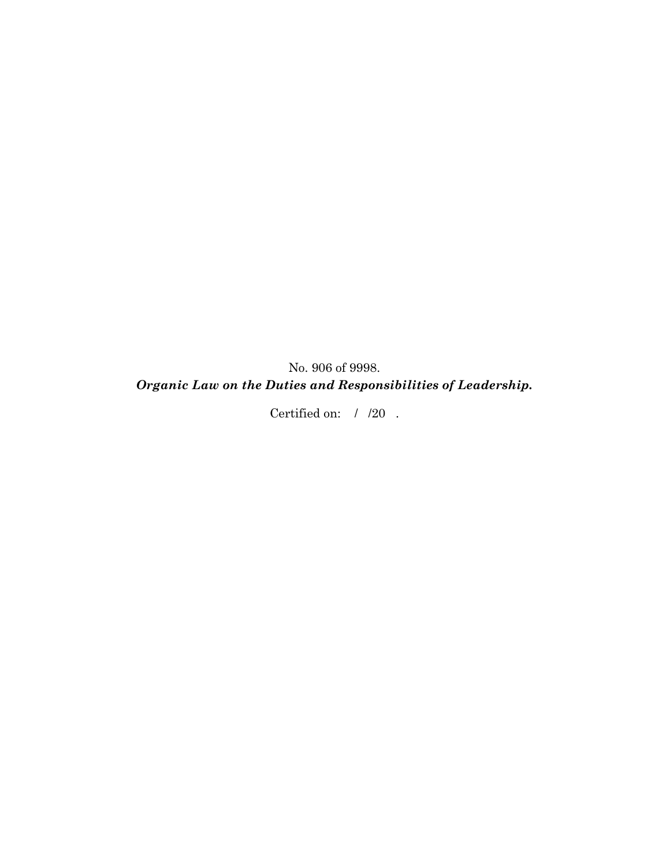No. 906 of 9998.

# *Organic Law on the Duties and Responsibilities of Leadership.*

Certified on:  $/$  /20.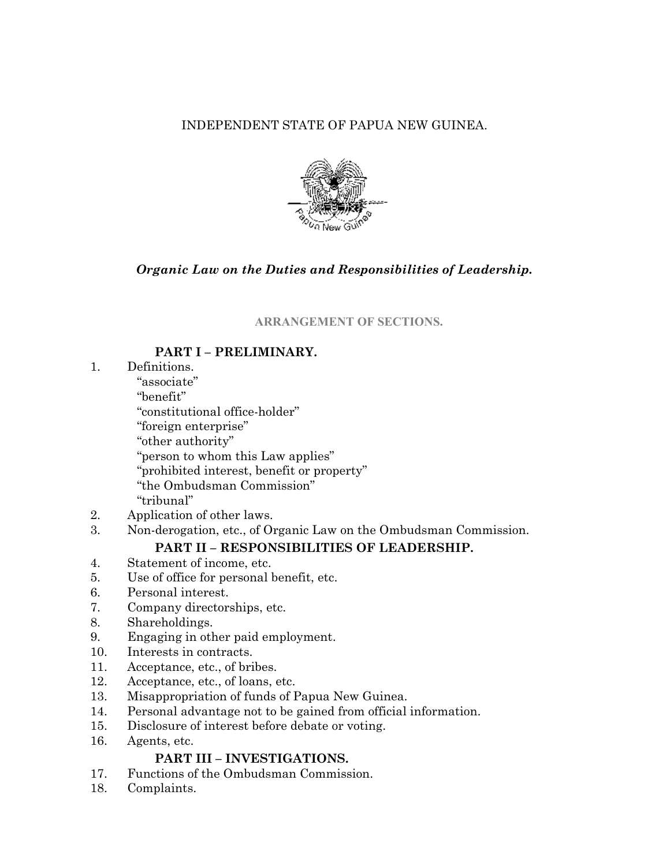# INDEPENDENT STATE OF PAPUA NEW GUINEA.



# *Organic Law on the Duties and Responsibilities of Leadership.*

### **ARRANGEMENT OF SECTIONS.**

# **PART I – PRELIMINARY.**

- 1. Definitions.
	- "associate"
	- "benefit"
	- "constitutional office-holder"
	- "foreign enterprise"
	- "other authority"
	- "person to whom this Law applies"
	- "prohibited interest, benefit or property"
	- "the Ombudsman Commission"
	- "tribunal"
- 2. Application of other laws.
- 3. Non-derogation, etc., of Organic Law on the Ombudsman Commission.

# **PART II – RESPONSIBILITIES OF LEADERSHIP.**

- 4. Statement of income, etc.
- 5. Use of office for personal benefit, etc.
- 6. Personal interest.
- 7. Company directorships, etc.
- 8. Shareholdings.
- 9. Engaging in other paid employment.
- 10. Interests in contracts.
- 11. Acceptance, etc., of bribes.
- 12. Acceptance, etc., of loans, etc.
- 13. Misappropriation of funds of Papua New Guinea.
- 14. Personal advantage not to be gained from official information.
- 15. Disclosure of interest before debate or voting.
- 16. Agents, etc.

# **PART III – INVESTIGATIONS.**

- 17. Functions of the Ombudsman Commission.
- 18. Complaints.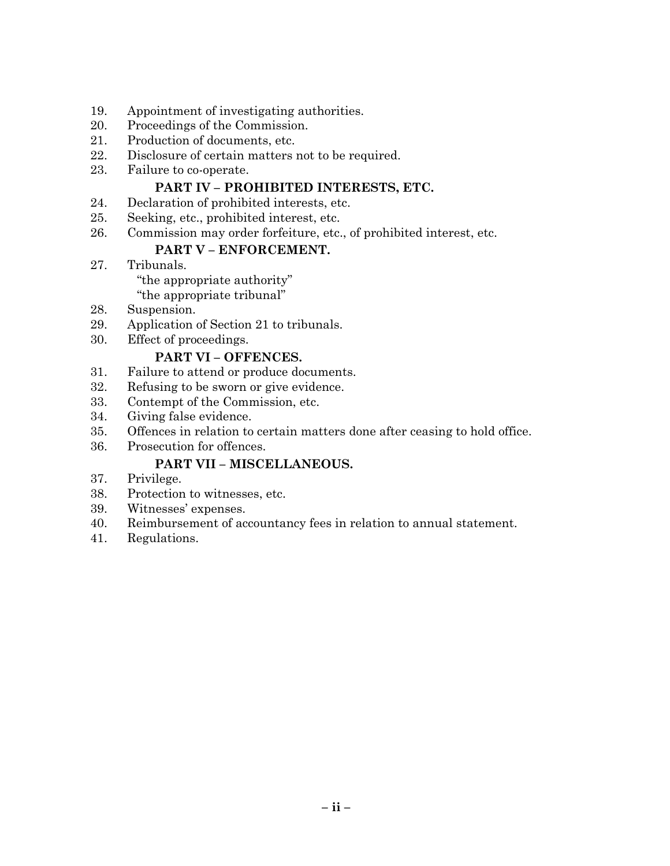- 19. Appointment of investigating authorities.
- 20. Proceedings of the Commission.
- 21. Production of documents, etc.
- 22. Disclosure of certain matters not to be required.
- 23. Failure to co-operate.

# **PART IV – PROHIBITED INTERESTS, ETC.**

- 24. Declaration of prohibited interests, etc.
- 25. Seeking, etc., prohibited interest, etc.
- 26. Commission may order forfeiture, etc., of prohibited interest, etc.

# **PART V – ENFORCEMENT.**

27. Tribunals.

"the appropriate authority"

"the appropriate tribunal"

- 28. Suspension.
- 29. Application of Section 21 to tribunals.
- 30. Effect of proceedings.

# **PART VI – OFFENCES.**

- 31. Failure to attend or produce documents.
- 32. Refusing to be sworn or give evidence.
- 33. Contempt of the Commission, etc.
- 34. Giving false evidence.
- 35. Offences in relation to certain matters done after ceasing to hold office.
- 36. Prosecution for offences.

# **PART VII – MISCELLANEOUS.**

- 37. Privilege.
- 38. Protection to witnesses, etc.
- 39. Witnesses' expenses.
- 40. Reimbursement of accountancy fees in relation to annual statement.
- 41. Regulations.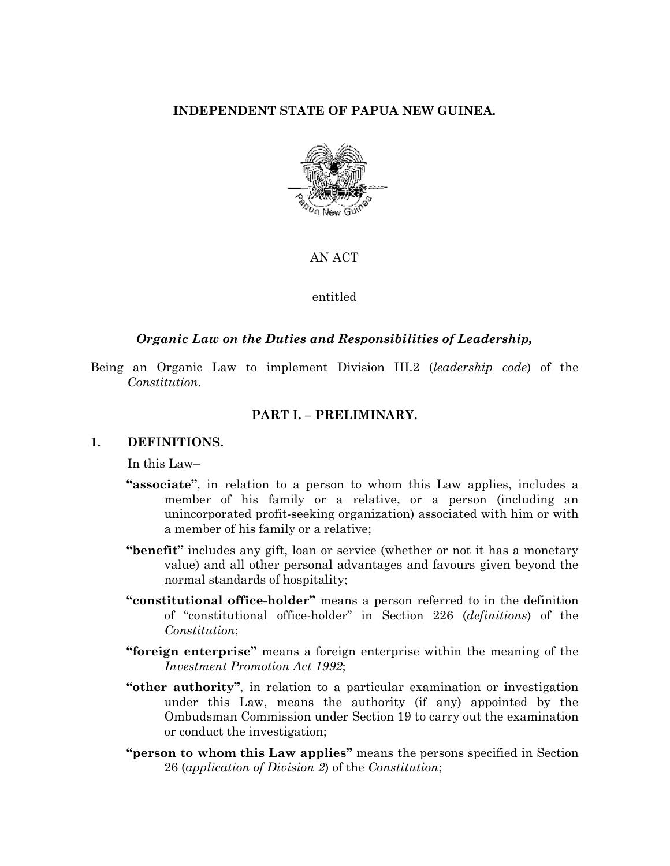### **INDEPENDENT STATE OF PAPUA NEW GUINEA.**



#### AN ACT

#### entitled

#### *Organic Law on the Duties and Responsibilities of Leadership,*

Being an Organic Law to implement Division III.2 (*leadership code*) of the *Constitution*.

#### **PART I. – PRELIMINARY.**

#### **1. DEFINITIONS.**

In this Law–

- **"associate"**, in relation to a person to whom this Law applies, includes a member of his family or a relative, or a person (including an unincorporated profit-seeking organization) associated with him or with a member of his family or a relative;
- **"benefit"** includes any gift, loan or service (whether or not it has a monetary value) and all other personal advantages and favours given beyond the normal standards of hospitality;
- **"constitutional office-holder"** means a person referred to in the definition of "constitutional office-holder" in Section 226 (*definitions*) of the *Constitution*;
- **"foreign enterprise"** means a foreign enterprise within the meaning of the *Investment Promotion Act 1992*;
- **"other authority"**, in relation to a particular examination or investigation under this Law, means the authority (if any) appointed by the Ombudsman Commission under Section 19 to carry out the examination or conduct the investigation;
- **"person to whom this Law applies"** means the persons specified in Section 26 (*application of Division 2*) of the *Constitution*;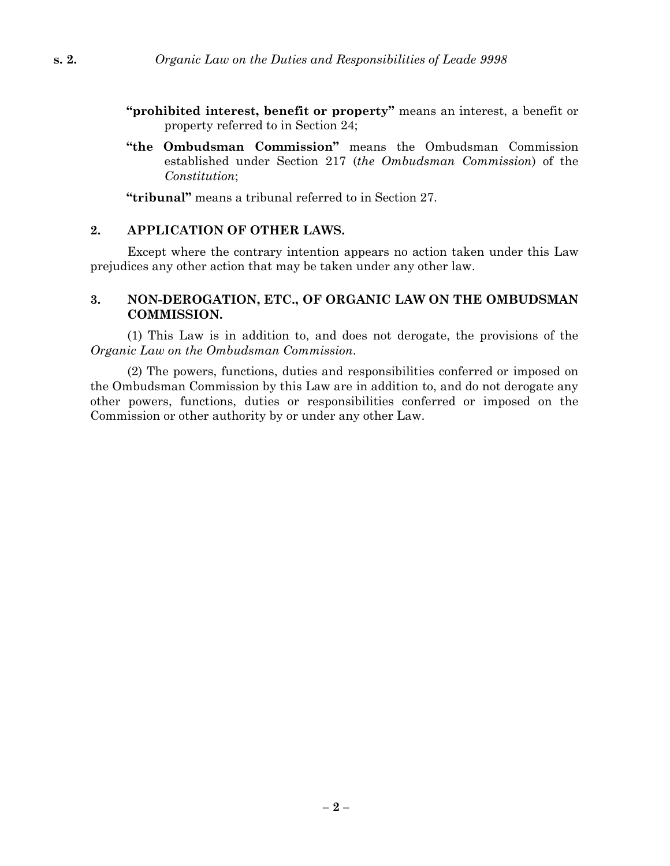- **"prohibited interest, benefit or property"** means an interest, a benefit or property referred to in Section 24;
- **"the Ombudsman Commission"** means the Ombudsman Commission established under Section 217 (*the Ombudsman Commission*) of the *Constitution*;

**"tribunal"** means a tribunal referred to in Section 27.

#### **2. APPLICATION OF OTHER LAWS.**

Except where the contrary intention appears no action taken under this Law prejudices any other action that may be taken under any other law.

#### **3. NON-DEROGATION, ETC., OF ORGANIC LAW ON THE OMBUDSMAN COMMISSION.**

(1) This Law is in addition to, and does not derogate, the provisions of the *Organic Law on the Ombudsman Commission*.

(2) The powers, functions, duties and responsibilities conferred or imposed on the Ombudsman Commission by this Law are in addition to, and do not derogate any other powers, functions, duties or responsibilities conferred or imposed on the Commission or other authority by or under any other Law.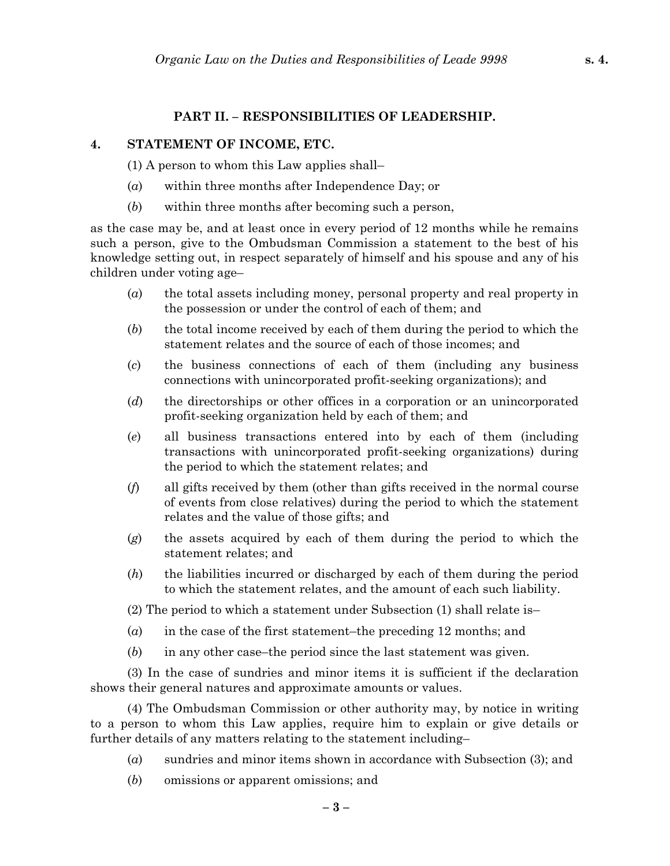### **PART II. – RESPONSIBILITIES OF LEADERSHIP.**

#### **4. STATEMENT OF INCOME, ETC.**

(1) A person to whom this Law applies shall–

- (*a*) within three months after Independence Day; or
- (*b*) within three months after becoming such a person,

as the case may be, and at least once in every period of 12 months while he remains such a person, give to the Ombudsman Commission a statement to the best of his knowledge setting out, in respect separately of himself and his spouse and any of his children under voting age–

- (*a*) the total assets including money, personal property and real property in the possession or under the control of each of them; and
- (*b*) the total income received by each of them during the period to which the statement relates and the source of each of those incomes; and
- (*c*) the business connections of each of them (including any business connections with unincorporated profit-seeking organizations); and
- (*d*) the directorships or other offices in a corporation or an unincorporated profit-seeking organization held by each of them; and
- (*e*) all business transactions entered into by each of them (including transactions with unincorporated profit-seeking organizations) during the period to which the statement relates; and
- (*f*) all gifts received by them (other than gifts received in the normal course of events from close relatives) during the period to which the statement relates and the value of those gifts; and
- (*g*) the assets acquired by each of them during the period to which the statement relates; and
- (*h*) the liabilities incurred or discharged by each of them during the period to which the statement relates, and the amount of each such liability.
- (2) The period to which a statement under Subsection (1) shall relate is–
- (*a*) in the case of the first statement–the preceding 12 months; and
- (*b*) in any other case–the period since the last statement was given.

(3) In the case of sundries and minor items it is sufficient if the declaration shows their general natures and approximate amounts or values.

(4) The Ombudsman Commission or other authority may, by notice in writing to a person to whom this Law applies, require him to explain or give details or further details of any matters relating to the statement including–

- (*a*) sundries and minor items shown in accordance with Subsection (3); and
- (*b*) omissions or apparent omissions; and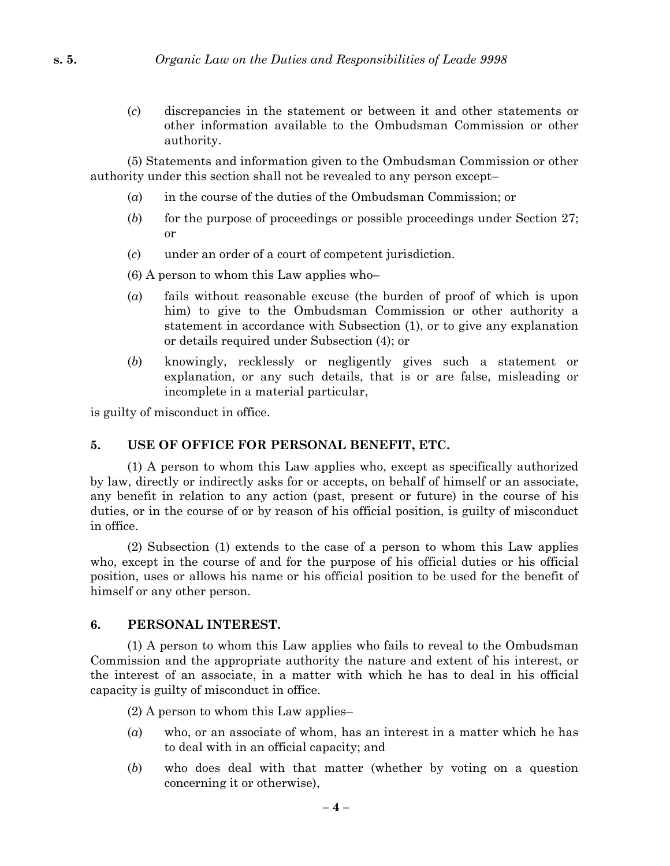(*c*) discrepancies in the statement or between it and other statements or other information available to the Ombudsman Commission or other authority.

(5) Statements and information given to the Ombudsman Commission or other authority under this section shall not be revealed to any person except–

- (*a*) in the course of the duties of the Ombudsman Commission; or
- (*b*) for the purpose of proceedings or possible proceedings under Section 27; or
- (*c*) under an order of a court of competent jurisdiction.
- (6) A person to whom this Law applies who–
- (*a*) fails without reasonable excuse (the burden of proof of which is upon him) to give to the Ombudsman Commission or other authority a statement in accordance with Subsection (1), or to give any explanation or details required under Subsection (4); or
- (*b*) knowingly, recklessly or negligently gives such a statement or explanation, or any such details, that is or are false, misleading or incomplete in a material particular,

is guilty of misconduct in office.

#### **5. USE OF OFFICE FOR PERSONAL BENEFIT, ETC.**

(1) A person to whom this Law applies who, except as specifically authorized by law, directly or indirectly asks for or accepts, on behalf of himself or an associate, any benefit in relation to any action (past, present or future) in the course of his duties, or in the course of or by reason of his official position, is guilty of misconduct in office.

(2) Subsection (1) extends to the case of a person to whom this Law applies who, except in the course of and for the purpose of his official duties or his official position, uses or allows his name or his official position to be used for the benefit of himself or any other person.

#### **6. PERSONAL INTEREST.**

(1) A person to whom this Law applies who fails to reveal to the Ombudsman Commission and the appropriate authority the nature and extent of his interest, or the interest of an associate, in a matter with which he has to deal in his official capacity is guilty of misconduct in office.

(2) A person to whom this Law applies–

- (*a*) who, or an associate of whom, has an interest in a matter which he has to deal with in an official capacity; and
- (*b*) who does deal with that matter (whether by voting on a question concerning it or otherwise),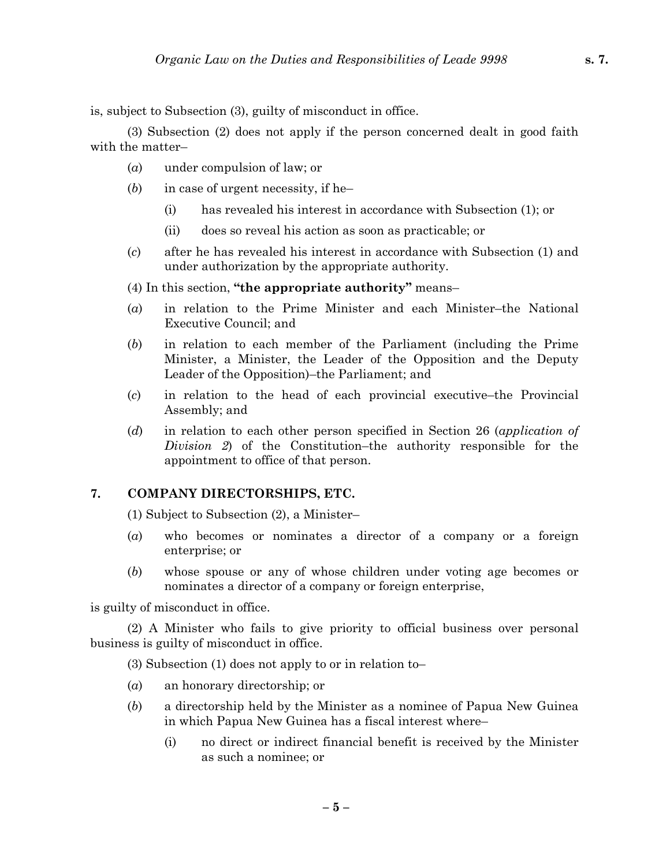is, subject to Subsection (3), guilty of misconduct in office.

(3) Subsection (2) does not apply if the person concerned dealt in good faith with the matter–

- (*a*) under compulsion of law; or
- (*b*) in case of urgent necessity, if he–
	- (i) has revealed his interest in accordance with Subsection (1); or
	- (ii) does so reveal his action as soon as practicable; or
- (*c*) after he has revealed his interest in accordance with Subsection (1) and under authorization by the appropriate authority.

(4) In this section, **"the appropriate authority"** means–

- (*a*) in relation to the Prime Minister and each Minister–the National Executive Council; and
- (*b*) in relation to each member of the Parliament (including the Prime Minister, a Minister, the Leader of the Opposition and the Deputy Leader of the Opposition)–the Parliament; and
- (*c*) in relation to the head of each provincial executive–the Provincial Assembly; and
- (*d*) in relation to each other person specified in Section 26 (*application of Division 2*) of the Constitution–the authority responsible for the appointment to office of that person.

### **7. COMPANY DIRECTORSHIPS, ETC.**

(1) Subject to Subsection (2), a Minister–

- (*a*) who becomes or nominates a director of a company or a foreign enterprise; or
- (*b*) whose spouse or any of whose children under voting age becomes or nominates a director of a company or foreign enterprise,

is guilty of misconduct in office.

(2) A Minister who fails to give priority to official business over personal business is guilty of misconduct in office.

(3) Subsection (1) does not apply to or in relation to–

- (*a*) an honorary directorship; or
- (*b*) a directorship held by the Minister as a nominee of Papua New Guinea in which Papua New Guinea has a fiscal interest where–
	- (i) no direct or indirect financial benefit is received by the Minister as such a nominee; or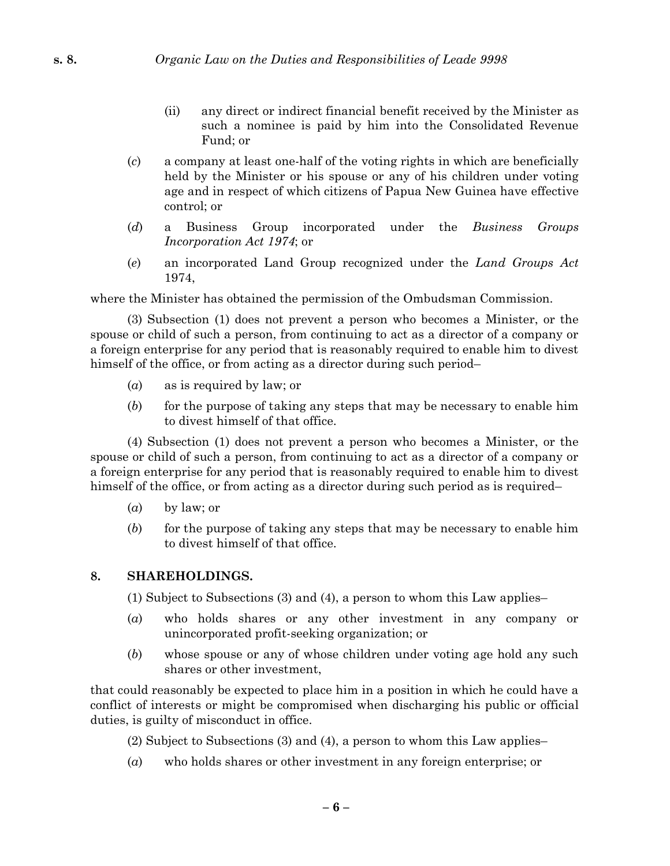- (ii) any direct or indirect financial benefit received by the Minister as such a nominee is paid by him into the Consolidated Revenue Fund; or
- (*c*) a company at least one-half of the voting rights in which are beneficially held by the Minister or his spouse or any of his children under voting age and in respect of which citizens of Papua New Guinea have effective control; or
- (*d*) a Business Group incorporated under the *Business Groups Incorporation Act 1974*; or
- (*e*) an incorporated Land Group recognized under the *Land Groups Act* 1974,

where the Minister has obtained the permission of the Ombudsman Commission.

(3) Subsection (1) does not prevent a person who becomes a Minister, or the spouse or child of such a person, from continuing to act as a director of a company or a foreign enterprise for any period that is reasonably required to enable him to divest himself of the office, or from acting as a director during such period–

- (*a*) as is required by law; or
- (*b*) for the purpose of taking any steps that may be necessary to enable him to divest himself of that office.

(4) Subsection (1) does not prevent a person who becomes a Minister, or the spouse or child of such a person, from continuing to act as a director of a company or a foreign enterprise for any period that is reasonably required to enable him to divest himself of the office, or from acting as a director during such period as is required–

- (*a*) by law; or
- (*b*) for the purpose of taking any steps that may be necessary to enable him to divest himself of that office.

### **8. SHAREHOLDINGS.**

(1) Subject to Subsections (3) and (4), a person to whom this Law applies–

- (*a*) who holds shares or any other investment in any company or unincorporated profit-seeking organization; or
- (*b*) whose spouse or any of whose children under voting age hold any such shares or other investment,

that could reasonably be expected to place him in a position in which he could have a conflict of interests or might be compromised when discharging his public or official duties, is guilty of misconduct in office.

- (2) Subject to Subsections (3) and (4), a person to whom this Law applies–
- (*a*) who holds shares or other investment in any foreign enterprise; or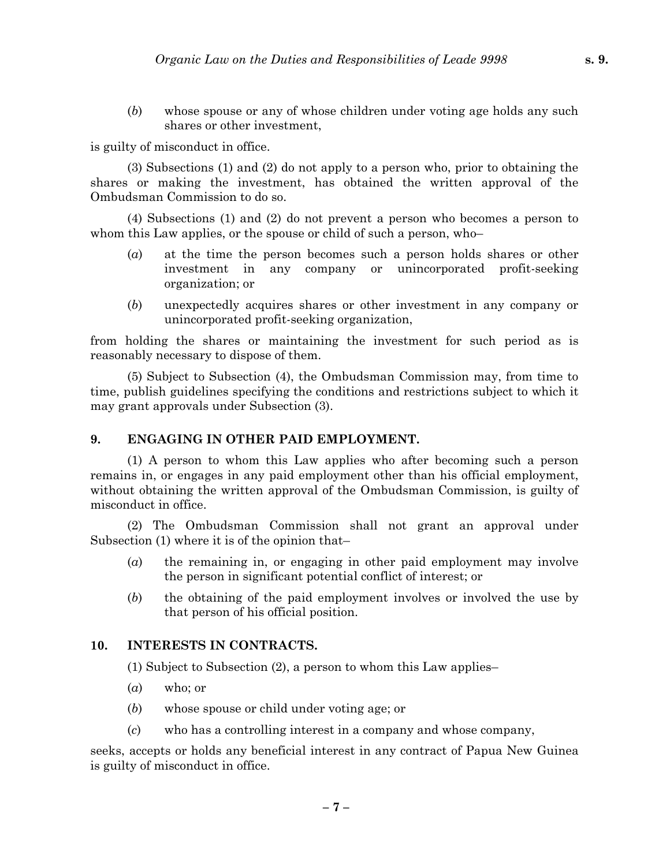(*b*) whose spouse or any of whose children under voting age holds any such shares or other investment,

is guilty of misconduct in office.

(3) Subsections (1) and (2) do not apply to a person who, prior to obtaining the shares or making the investment, has obtained the written approval of the Ombudsman Commission to do so.

(4) Subsections (1) and (2) do not prevent a person who becomes a person to whom this Law applies, or the spouse or child of such a person, who–

- (*a*) at the time the person becomes such a person holds shares or other investment in any company or unincorporated profit-seeking organization; or
- (*b*) unexpectedly acquires shares or other investment in any company or unincorporated profit-seeking organization,

from holding the shares or maintaining the investment for such period as is reasonably necessary to dispose of them.

(5) Subject to Subsection (4), the Ombudsman Commission may, from time to time, publish guidelines specifying the conditions and restrictions subject to which it may grant approvals under Subsection (3).

### **9. ENGAGING IN OTHER PAID EMPLOYMENT.**

(1) A person to whom this Law applies who after becoming such a person remains in, or engages in any paid employment other than his official employment, without obtaining the written approval of the Ombudsman Commission, is guilty of misconduct in office.

(2) The Ombudsman Commission shall not grant an approval under Subsection (1) where it is of the opinion that–

- (*a*) the remaining in, or engaging in other paid employment may involve the person in significant potential conflict of interest; or
- (*b*) the obtaining of the paid employment involves or involved the use by that person of his official position.

# **10. INTERESTS IN CONTRACTS.**

(1) Subject to Subsection (2), a person to whom this Law applies–

- (*a*) who; or
- (*b*) whose spouse or child under voting age; or
- (*c*) who has a controlling interest in a company and whose company,

seeks, accepts or holds any beneficial interest in any contract of Papua New Guinea is guilty of misconduct in office.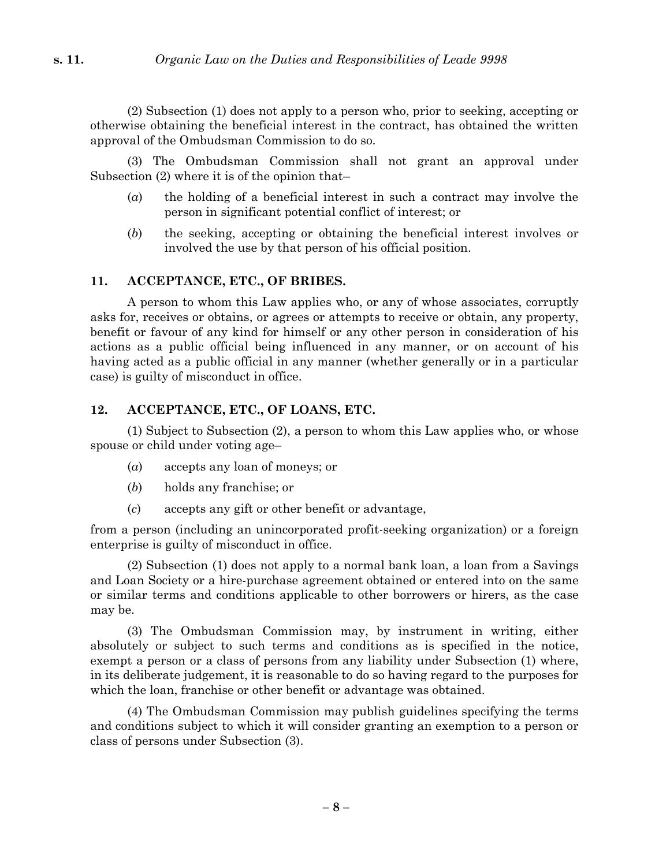(2) Subsection (1) does not apply to a person who, prior to seeking, accepting or otherwise obtaining the beneficial interest in the contract, has obtained the written approval of the Ombudsman Commission to do so.

(3) The Ombudsman Commission shall not grant an approval under Subsection (2) where it is of the opinion that–

- (*a*) the holding of a beneficial interest in such a contract may involve the person in significant potential conflict of interest; or
- (*b*) the seeking, accepting or obtaining the beneficial interest involves or involved the use by that person of his official position.

### **11. ACCEPTANCE, ETC., OF BRIBES.**

A person to whom this Law applies who, or any of whose associates, corruptly asks for, receives or obtains, or agrees or attempts to receive or obtain, any property, benefit or favour of any kind for himself or any other person in consideration of his actions as a public official being influenced in any manner, or on account of his having acted as a public official in any manner (whether generally or in a particular case) is guilty of misconduct in office.

### **12. ACCEPTANCE, ETC., OF LOANS, ETC.**

(1) Subject to Subsection (2), a person to whom this Law applies who, or whose spouse or child under voting age–

- (*a*) accepts any loan of moneys; or
- (*b*) holds any franchise; or
- (*c*) accepts any gift or other benefit or advantage,

from a person (including an unincorporated profit-seeking organization) or a foreign enterprise is guilty of misconduct in office.

(2) Subsection (1) does not apply to a normal bank loan, a loan from a Savings and Loan Society or a hire-purchase agreement obtained or entered into on the same or similar terms and conditions applicable to other borrowers or hirers, as the case may be.

(3) The Ombudsman Commission may, by instrument in writing, either absolutely or subject to such terms and conditions as is specified in the notice, exempt a person or a class of persons from any liability under Subsection (1) where, in its deliberate judgement, it is reasonable to do so having regard to the purposes for which the loan, franchise or other benefit or advantage was obtained.

(4) The Ombudsman Commission may publish guidelines specifying the terms and conditions subject to which it will consider granting an exemption to a person or class of persons under Subsection (3).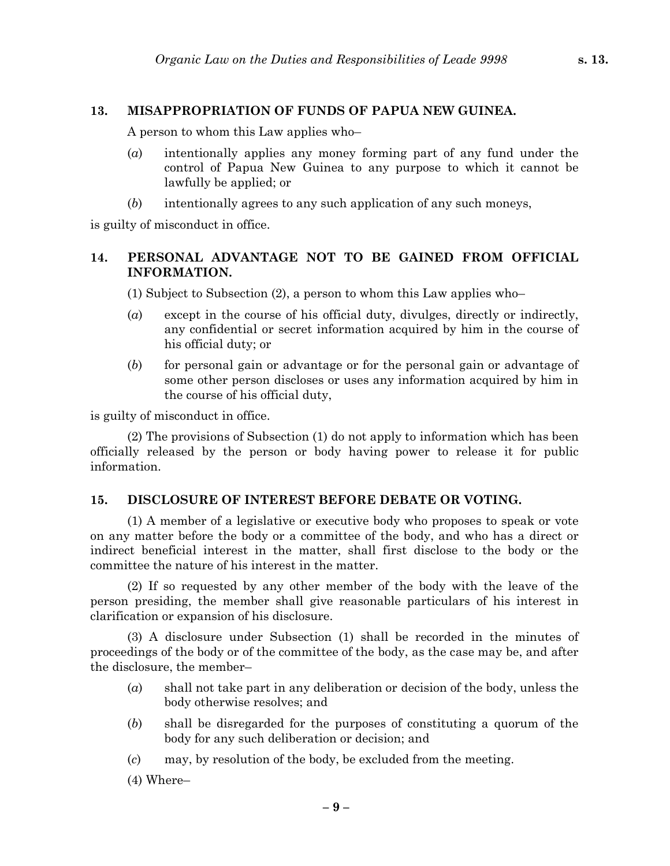### **13. MISAPPROPRIATION OF FUNDS OF PAPUA NEW GUINEA.**

A person to whom this Law applies who–

- (*a*) intentionally applies any money forming part of any fund under the control of Papua New Guinea to any purpose to which it cannot be lawfully be applied; or
- (*b*) intentionally agrees to any such application of any such moneys,

is guilty of misconduct in office.

## **14. PERSONAL ADVANTAGE NOT TO BE GAINED FROM OFFICIAL INFORMATION.**

(1) Subject to Subsection (2), a person to whom this Law applies who–

- (*a*) except in the course of his official duty, divulges, directly or indirectly, any confidential or secret information acquired by him in the course of his official duty; or
- (*b*) for personal gain or advantage or for the personal gain or advantage of some other person discloses or uses any information acquired by him in the course of his official duty,

is guilty of misconduct in office.

(2) The provisions of Subsection (1) do not apply to information which has been officially released by the person or body having power to release it for public information.

### **15. DISCLOSURE OF INTEREST BEFORE DEBATE OR VOTING.**

(1) A member of a legislative or executive body who proposes to speak or vote on any matter before the body or a committee of the body, and who has a direct or indirect beneficial interest in the matter, shall first disclose to the body or the committee the nature of his interest in the matter.

(2) If so requested by any other member of the body with the leave of the person presiding, the member shall give reasonable particulars of his interest in clarification or expansion of his disclosure.

(3) A disclosure under Subsection (1) shall be recorded in the minutes of proceedings of the body or of the committee of the body, as the case may be, and after the disclosure, the member–

- (*a*) shall not take part in any deliberation or decision of the body, unless the body otherwise resolves; and
- (*b*) shall be disregarded for the purposes of constituting a quorum of the body for any such deliberation or decision; and
- (*c*) may, by resolution of the body, be excluded from the meeting.
- (4) Where–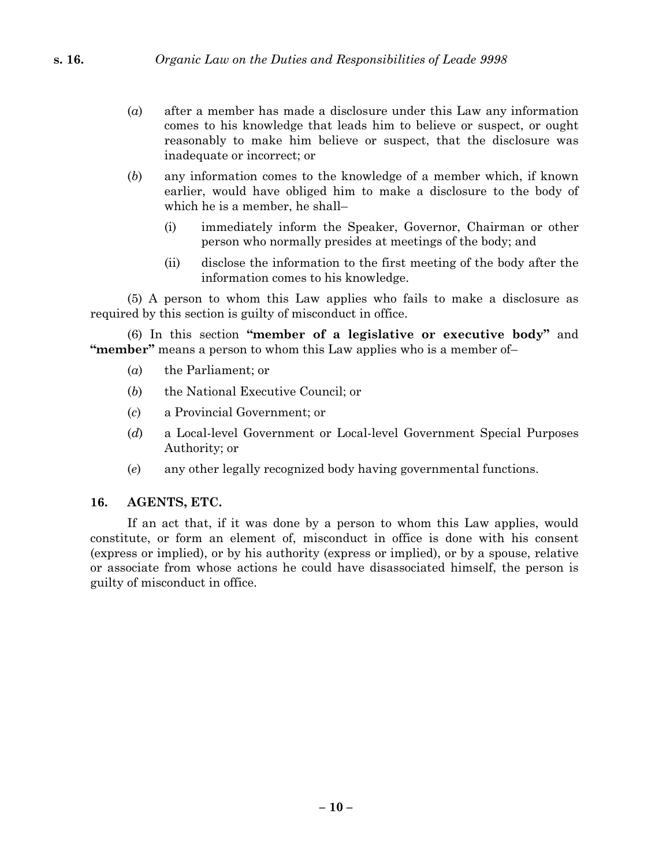- (*a*) after a member has made a disclosure under this Law any information comes to his knowledge that leads him to believe or suspect, or ought reasonably to make him believe or suspect, that the disclosure was inadequate or incorrect; or
- (*b*) any information comes to the knowledge of a member which, if known earlier, would have obliged him to make a disclosure to the body of which he is a member, he shall–
	- (i) immediately inform the Speaker, Governor, Chairman or other person who normally presides at meetings of the body; and
	- (ii) disclose the information to the first meeting of the body after the information comes to his knowledge.

(5) A person to whom this Law applies who fails to make a disclosure as required by this section is guilty of misconduct in office.

(6) In this section **"member of a legislative or executive body"** and **"member"** means a person to whom this Law applies who is a member of–

- (*a*) the Parliament; or
- (*b*) the National Executive Council; or
- (*c*) a Provincial Government; or
- (*d*) a Local-level Government or Local-level Government Special Purposes Authority; or
- (*e*) any other legally recognized body having governmental functions.

### **16. AGENTS, ETC.**

If an act that, if it was done by a person to whom this Law applies, would constitute, or form an element of, misconduct in office is done with his consent (express or implied), or by his authority (express or implied), or by a spouse, relative or associate from whose actions he could have disassociated himself, the person is guilty of misconduct in office.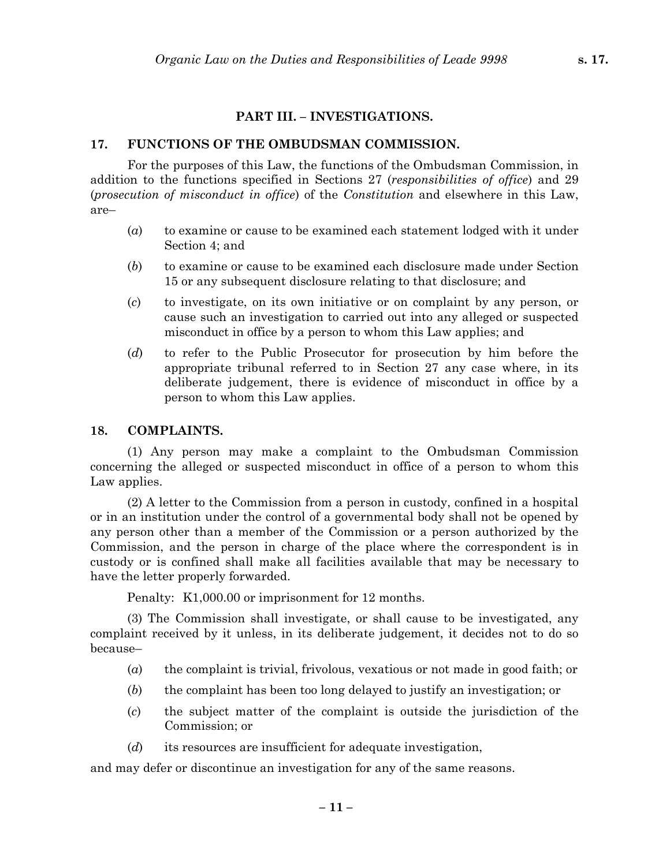## **PART III. – INVESTIGATIONS.**

## **17. FUNCTIONS OF THE OMBUDSMAN COMMISSION.**

For the purposes of this Law, the functions of the Ombudsman Commission, in addition to the functions specified in Sections 27 (*responsibilities of office*) and 29 (*prosecution of misconduct in office*) of the *Constitution* and elsewhere in this Law, are–

- (*a*) to examine or cause to be examined each statement lodged with it under Section 4; and
- (*b*) to examine or cause to be examined each disclosure made under Section 15 or any subsequent disclosure relating to that disclosure; and
- (*c*) to investigate, on its own initiative or on complaint by any person, or cause such an investigation to carried out into any alleged or suspected misconduct in office by a person to whom this Law applies; and
- (*d*) to refer to the Public Prosecutor for prosecution by him before the appropriate tribunal referred to in Section 27 any case where, in its deliberate judgement, there is evidence of misconduct in office by a person to whom this Law applies.

### **18. COMPLAINTS.**

(1) Any person may make a complaint to the Ombudsman Commission concerning the alleged or suspected misconduct in office of a person to whom this Law applies.

(2) A letter to the Commission from a person in custody, confined in a hospital or in an institution under the control of a governmental body shall not be opened by any person other than a member of the Commission or a person authorized by the Commission, and the person in charge of the place where the correspondent is in custody or is confined shall make all facilities available that may be necessary to have the letter properly forwarded.

Penalty: K1,000.00 or imprisonment for 12 months.

(3) The Commission shall investigate, or shall cause to be investigated, any complaint received by it unless, in its deliberate judgement, it decides not to do so because–

- (*a*) the complaint is trivial, frivolous, vexatious or not made in good faith; or
- (*b*) the complaint has been too long delayed to justify an investigation; or
- (*c*) the subject matter of the complaint is outside the jurisdiction of the Commission; or
- (*d*) its resources are insufficient for adequate investigation,

and may defer or discontinue an investigation for any of the same reasons.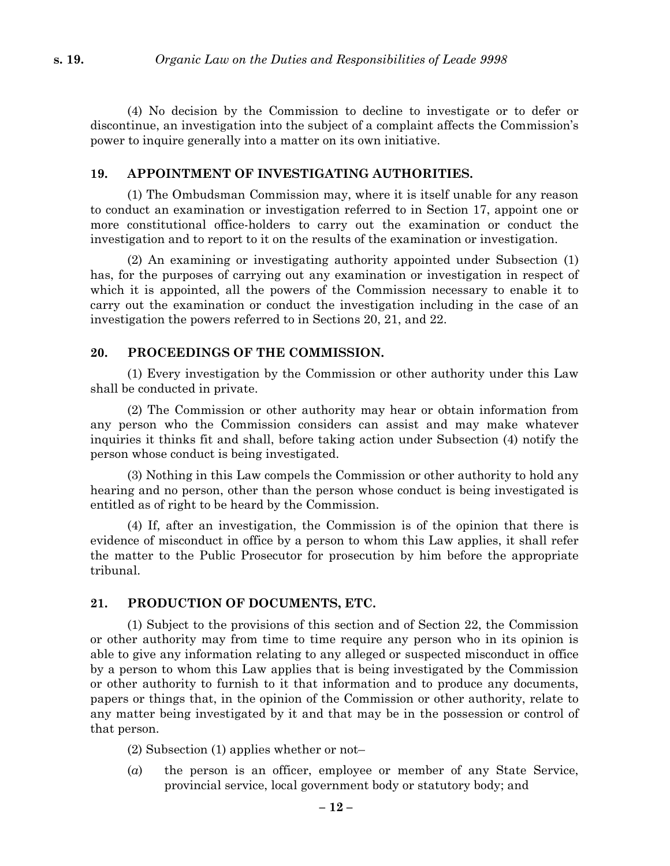(4) No decision by the Commission to decline to investigate or to defer or discontinue, an investigation into the subject of a complaint affects the Commission's power to inquire generally into a matter on its own initiative.

#### **19. APPOINTMENT OF INVESTIGATING AUTHORITIES.**

(1) The Ombudsman Commission may, where it is itself unable for any reason to conduct an examination or investigation referred to in Section 17, appoint one or more constitutional office-holders to carry out the examination or conduct the investigation and to report to it on the results of the examination or investigation.

(2) An examining or investigating authority appointed under Subsection (1) has, for the purposes of carrying out any examination or investigation in respect of which it is appointed, all the powers of the Commission necessary to enable it to carry out the examination or conduct the investigation including in the case of an investigation the powers referred to in Sections 20, 21, and 22.

#### **20. PROCEEDINGS OF THE COMMISSION.**

(1) Every investigation by the Commission or other authority under this Law shall be conducted in private.

(2) The Commission or other authority may hear or obtain information from any person who the Commission considers can assist and may make whatever inquiries it thinks fit and shall, before taking action under Subsection (4) notify the person whose conduct is being investigated.

(3) Nothing in this Law compels the Commission or other authority to hold any hearing and no person, other than the person whose conduct is being investigated is entitled as of right to be heard by the Commission.

(4) If, after an investigation, the Commission is of the opinion that there is evidence of misconduct in office by a person to whom this Law applies, it shall refer the matter to the Public Prosecutor for prosecution by him before the appropriate tribunal.

#### **21. PRODUCTION OF DOCUMENTS, ETC.**

(1) Subject to the provisions of this section and of Section 22, the Commission or other authority may from time to time require any person who in its opinion is able to give any information relating to any alleged or suspected misconduct in office by a person to whom this Law applies that is being investigated by the Commission or other authority to furnish to it that information and to produce any documents, papers or things that, in the opinion of the Commission or other authority, relate to any matter being investigated by it and that may be in the possession or control of that person.

(2) Subsection (1) applies whether or not–

(*a*) the person is an officer, employee or member of any State Service, provincial service, local government body or statutory body; and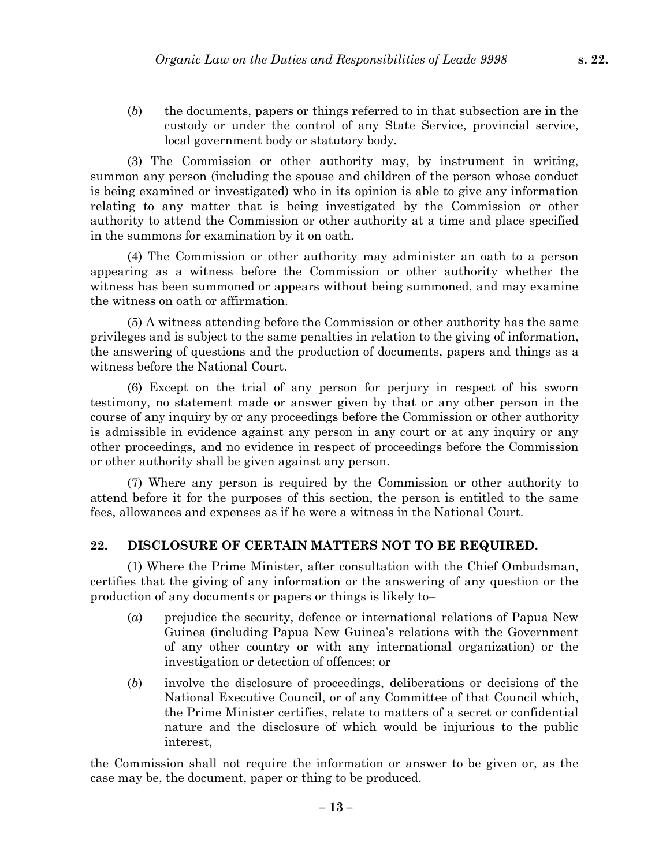(*b*) the documents, papers or things referred to in that subsection are in the custody or under the control of any State Service, provincial service, local government body or statutory body.

(3) The Commission or other authority may, by instrument in writing, summon any person (including the spouse and children of the person whose conduct is being examined or investigated) who in its opinion is able to give any information relating to any matter that is being investigated by the Commission or other authority to attend the Commission or other authority at a time and place specified in the summons for examination by it on oath.

(4) The Commission or other authority may administer an oath to a person appearing as a witness before the Commission or other authority whether the witness has been summoned or appears without being summoned, and may examine the witness on oath or affirmation.

(5) A witness attending before the Commission or other authority has the same privileges and is subject to the same penalties in relation to the giving of information, the answering of questions and the production of documents, papers and things as a witness before the National Court.

(6) Except on the trial of any person for perjury in respect of his sworn testimony, no statement made or answer given by that or any other person in the course of any inquiry by or any proceedings before the Commission or other authority is admissible in evidence against any person in any court or at any inquiry or any other proceedings, and no evidence in respect of proceedings before the Commission or other authority shall be given against any person.

(7) Where any person is required by the Commission or other authority to attend before it for the purposes of this section, the person is entitled to the same fees, allowances and expenses as if he were a witness in the National Court.

#### **22. DISCLOSURE OF CERTAIN MATTERS NOT TO BE REQUIRED.**

(1) Where the Prime Minister, after consultation with the Chief Ombudsman, certifies that the giving of any information or the answering of any question or the production of any documents or papers or things is likely to–

- (*a*) prejudice the security, defence or international relations of Papua New Guinea (including Papua New Guinea's relations with the Government of any other country or with any international organization) or the investigation or detection of offences; or
- (*b*) involve the disclosure of proceedings, deliberations or decisions of the National Executive Council, or of any Committee of that Council which, the Prime Minister certifies, relate to matters of a secret or confidential nature and the disclosure of which would be injurious to the public interest,

the Commission shall not require the information or answer to be given or, as the case may be, the document, paper or thing to be produced.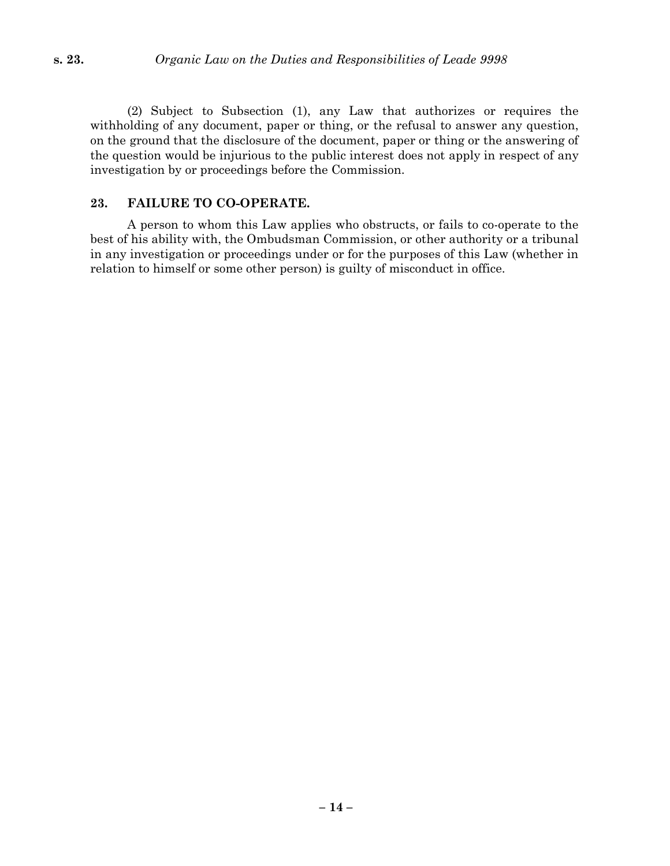(2) Subject to Subsection (1), any Law that authorizes or requires the withholding of any document, paper or thing, or the refusal to answer any question, on the ground that the disclosure of the document, paper or thing or the answering of the question would be injurious to the public interest does not apply in respect of any investigation by or proceedings before the Commission.

#### **23. FAILURE TO CO-OPERATE.**

A person to whom this Law applies who obstructs, or fails to co-operate to the best of his ability with, the Ombudsman Commission, or other authority or a tribunal in any investigation or proceedings under or for the purposes of this Law (whether in relation to himself or some other person) is guilty of misconduct in office.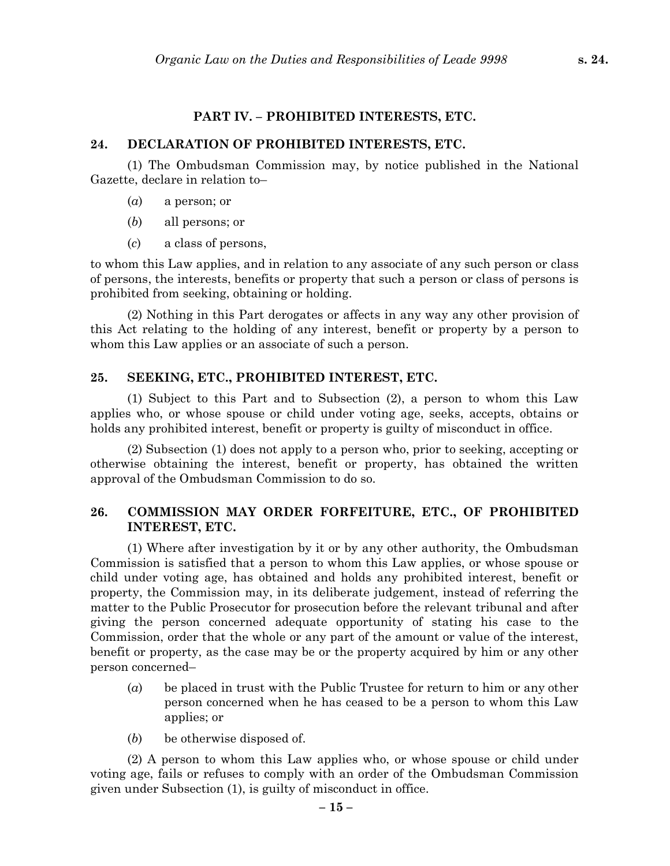# **24. DECLARATION OF PROHIBITED INTERESTS, ETC.**

(1) The Ombudsman Commission may, by notice published in the National Gazette, declare in relation to–

**PART IV. – PROHIBITED INTERESTS, ETC.**

- (*a*) a person; or
- (*b*) all persons; or
- (*c*) a class of persons,

to whom this Law applies, and in relation to any associate of any such person or class of persons, the interests, benefits or property that such a person or class of persons is prohibited from seeking, obtaining or holding.

(2) Nothing in this Part derogates or affects in any way any other provision of this Act relating to the holding of any interest, benefit or property by a person to whom this Law applies or an associate of such a person.

# **25. SEEKING, ETC., PROHIBITED INTEREST, ETC.**

(1) Subject to this Part and to Subsection (2), a person to whom this Law applies who, or whose spouse or child under voting age, seeks, accepts, obtains or holds any prohibited interest, benefit or property is guilty of misconduct in office.

(2) Subsection (1) does not apply to a person who, prior to seeking, accepting or otherwise obtaining the interest, benefit or property, has obtained the written approval of the Ombudsman Commission to do so.

# **26. COMMISSION MAY ORDER FORFEITURE, ETC., OF PROHIBITED INTEREST, ETC.**

(1) Where after investigation by it or by any other authority, the Ombudsman Commission is satisfied that a person to whom this Law applies, or whose spouse or child under voting age, has obtained and holds any prohibited interest, benefit or property, the Commission may, in its deliberate judgement, instead of referring the matter to the Public Prosecutor for prosecution before the relevant tribunal and after giving the person concerned adequate opportunity of stating his case to the Commission, order that the whole or any part of the amount or value of the interest, benefit or property, as the case may be or the property acquired by him or any other person concerned–

- (*a*) be placed in trust with the Public Trustee for return to him or any other person concerned when he has ceased to be a person to whom this Law applies; or
- (*b*) be otherwise disposed of.

(2) A person to whom this Law applies who, or whose spouse or child under voting age, fails or refuses to comply with an order of the Ombudsman Commission given under Subsection (1), is guilty of misconduct in office.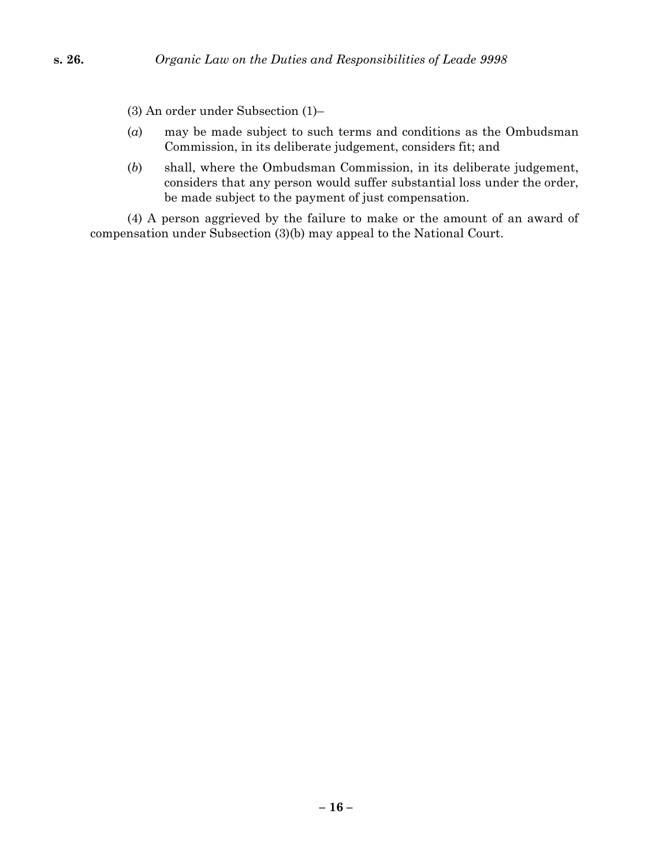(3) An order under Subsection (1)–

- (*a*) may be made subject to such terms and conditions as the Ombudsman Commission, in its deliberate judgement, considers fit; and
- (*b*) shall, where the Ombudsman Commission, in its deliberate judgement, considers that any person would suffer substantial loss under the order, be made subject to the payment of just compensation.

(4) A person aggrieved by the failure to make or the amount of an award of compensation under Subsection (3)(b) may appeal to the National Court.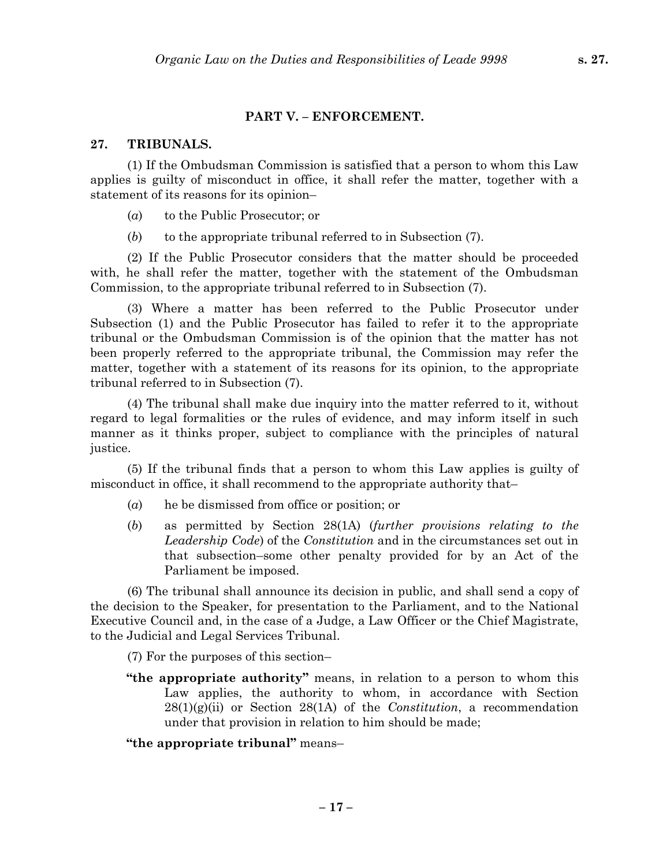#### **PART V. – ENFORCEMENT.**

### **27. TRIBUNALS.**

(1) If the Ombudsman Commission is satisfied that a person to whom this Law applies is guilty of misconduct in office, it shall refer the matter, together with a statement of its reasons for its opinion–

- (*a*) to the Public Prosecutor; or
- (*b*) to the appropriate tribunal referred to in Subsection (7).

(2) If the Public Prosecutor considers that the matter should be proceeded with, he shall refer the matter, together with the statement of the Ombudsman Commission, to the appropriate tribunal referred to in Subsection (7).

(3) Where a matter has been referred to the Public Prosecutor under Subsection (1) and the Public Prosecutor has failed to refer it to the appropriate tribunal or the Ombudsman Commission is of the opinion that the matter has not been properly referred to the appropriate tribunal, the Commission may refer the matter, together with a statement of its reasons for its opinion, to the appropriate tribunal referred to in Subsection (7).

(4) The tribunal shall make due inquiry into the matter referred to it, without regard to legal formalities or the rules of evidence, and may inform itself in such manner as it thinks proper, subject to compliance with the principles of natural justice.

(5) If the tribunal finds that a person to whom this Law applies is guilty of misconduct in office, it shall recommend to the appropriate authority that–

- (*a*) he be dismissed from office or position; or
- (*b*) as permitted by Section 28(1A) (*further provisions relating to the Leadership Code*) of the *Constitution* and in the circumstances set out in that subsection–some other penalty provided for by an Act of the Parliament be imposed.

(6) The tribunal shall announce its decision in public, and shall send a copy of the decision to the Speaker, for presentation to the Parliament, and to the National Executive Council and, in the case of a Judge, a Law Officer or the Chief Magistrate, to the Judicial and Legal Services Tribunal.

(7) For the purposes of this section–

**"the appropriate authority"** means, in relation to a person to whom this Law applies, the authority to whom, in accordance with Section 28(1)(g)(ii) or Section 28(1A) of the *Constitution*, a recommendation under that provision in relation to him should be made;

**"the appropriate tribunal"** means–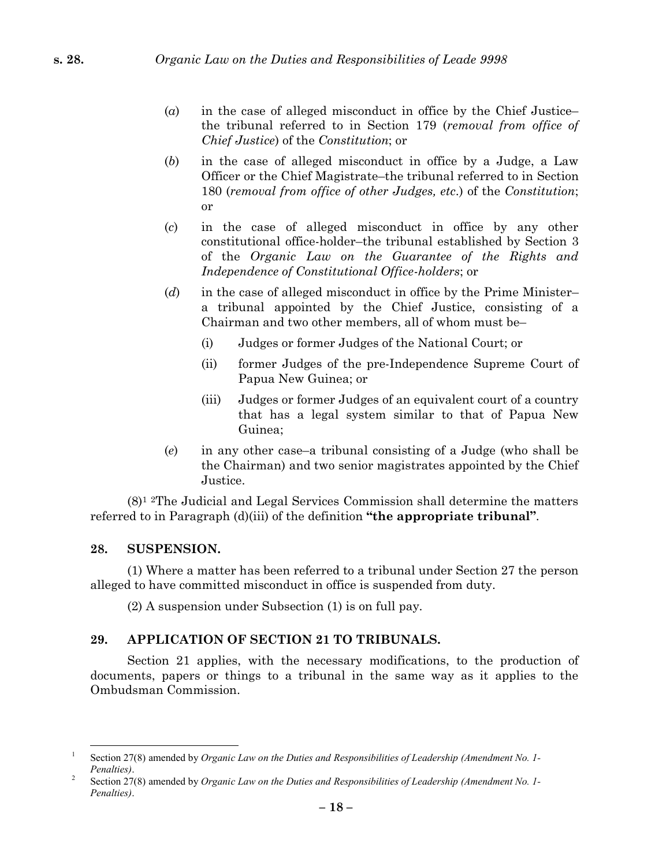- (*a*) in the case of alleged misconduct in office by the Chief Justice– the tribunal referred to in Section 179 (*removal from office of Chief Justice*) of the *Constitution*; or
- (*b*) in the case of alleged misconduct in office by a Judge, a Law Officer or the Chief Magistrate–the tribunal referred to in Section 180 (*removal from office of other Judges, etc*.) of the *Constitution*; or
- (*c*) in the case of alleged misconduct in office by any other constitutional office-holder–the tribunal established by Section 3 of the *Organic Law on the Guarantee of the Rights and Independence of Constitutional Office-holders*; or
- (*d*) in the case of alleged misconduct in office by the Prime Minister– a tribunal appointed by the Chief Justice, consisting of a Chairman and two other members, all of whom must be–
	- (i) Judges or former Judges of the National Court; or
	- (ii) former Judges of the pre-Independence Supreme Court of Papua New Guinea; or
	- (iii) Judges or former Judges of an equivalent court of a country that has a legal system similar to that of Papua New Guinea;
- (*e*) in any other case–a tribunal consisting of a Judge (who shall be the Chairman) and two senior magistrates appointed by the Chief Justice.

 $(8)^1$  <sup>2</sup>The Judicial and Legal Services Commission shall determine the matters referred to in Paragraph (d)(iii) of the definition **"the appropriate tribunal"**.

### **28. SUSPENSION.**

(1) Where a matter has been referred to a tribunal under Section 27 the person alleged to have committed misconduct in office is suspended from duty.

(2) A suspension under Subsection (1) is on full pay.

## **29. APPLICATION OF SECTION 21 TO TRIBUNALS.**

Section 21 applies, with the necessary modifications, to the production of documents, papers or things to a tribunal in the same way as it applies to the Ombudsman Commission.

<sup>1</sup> Section 27(8) amended by *Organic Law on the Duties and Responsibilities of Leadership (Amendment No. 1- Penalties)*. <sup>2</sup> Section 27(8) amended by *Organic Law on the Duties and Responsibilities of Leadership (Amendment No. 1-*

*Penalties)*.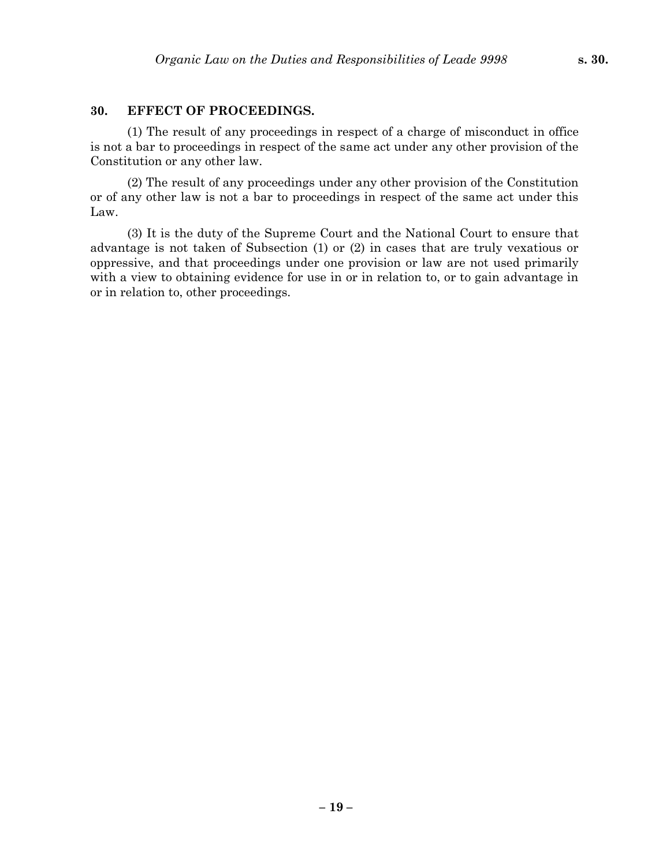#### **30. EFFECT OF PROCEEDINGS.**

(1) The result of any proceedings in respect of a charge of misconduct in office is not a bar to proceedings in respect of the same act under any other provision of the Constitution or any other law.

(2) The result of any proceedings under any other provision of the Constitution or of any other law is not a bar to proceedings in respect of the same act under this Law.

(3) It is the duty of the Supreme Court and the National Court to ensure that advantage is not taken of Subsection (1) or (2) in cases that are truly vexatious or oppressive, and that proceedings under one provision or law are not used primarily with a view to obtaining evidence for use in or in relation to, or to gain advantage in or in relation to, other proceedings.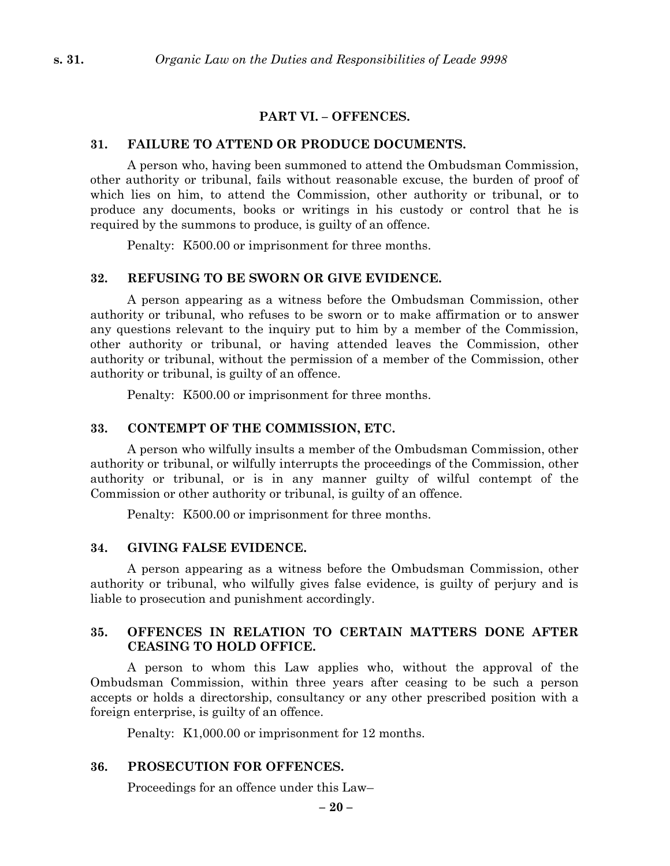#### **PART VI. – OFFENCES.**

### **31. FAILURE TO ATTEND OR PRODUCE DOCUMENTS.**

A person who, having been summoned to attend the Ombudsman Commission, other authority or tribunal, fails without reasonable excuse, the burden of proof of which lies on him, to attend the Commission, other authority or tribunal, or to produce any documents, books or writings in his custody or control that he is required by the summons to produce, is guilty of an offence.

Penalty: K500.00 or imprisonment for three months.

#### **32. REFUSING TO BE SWORN OR GIVE EVIDENCE.**

A person appearing as a witness before the Ombudsman Commission, other authority or tribunal, who refuses to be sworn or to make affirmation or to answer any questions relevant to the inquiry put to him by a member of the Commission, other authority or tribunal, or having attended leaves the Commission, other authority or tribunal, without the permission of a member of the Commission, other authority or tribunal, is guilty of an offence.

Penalty: K500.00 or imprisonment for three months.

#### **33. CONTEMPT OF THE COMMISSION, ETC.**

A person who wilfully insults a member of the Ombudsman Commission, other authority or tribunal, or wilfully interrupts the proceedings of the Commission, other authority or tribunal, or is in any manner guilty of wilful contempt of the Commission or other authority or tribunal, is guilty of an offence.

Penalty: K500.00 or imprisonment for three months.

### **34. GIVING FALSE EVIDENCE.**

A person appearing as a witness before the Ombudsman Commission, other authority or tribunal, who wilfully gives false evidence, is guilty of perjury and is liable to prosecution and punishment accordingly.

### **35. OFFENCES IN RELATION TO CERTAIN MATTERS DONE AFTER CEASING TO HOLD OFFICE.**

A person to whom this Law applies who, without the approval of the Ombudsman Commission, within three years after ceasing to be such a person accepts or holds a directorship, consultancy or any other prescribed position with a foreign enterprise, is guilty of an offence.

Penalty: K1,000.00 or imprisonment for 12 months.

### **36. PROSECUTION FOR OFFENCES.**

Proceedings for an offence under this Law–

**– 20 –**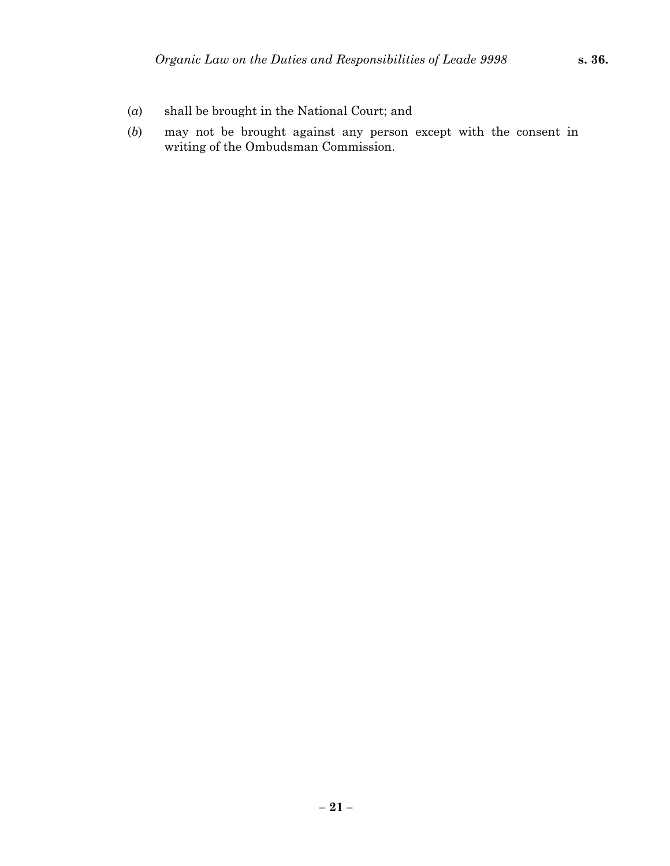- (*a*) shall be brought in the National Court; and
- (*b*) may not be brought against any person except with the consent in writing of the Ombudsman Commission.